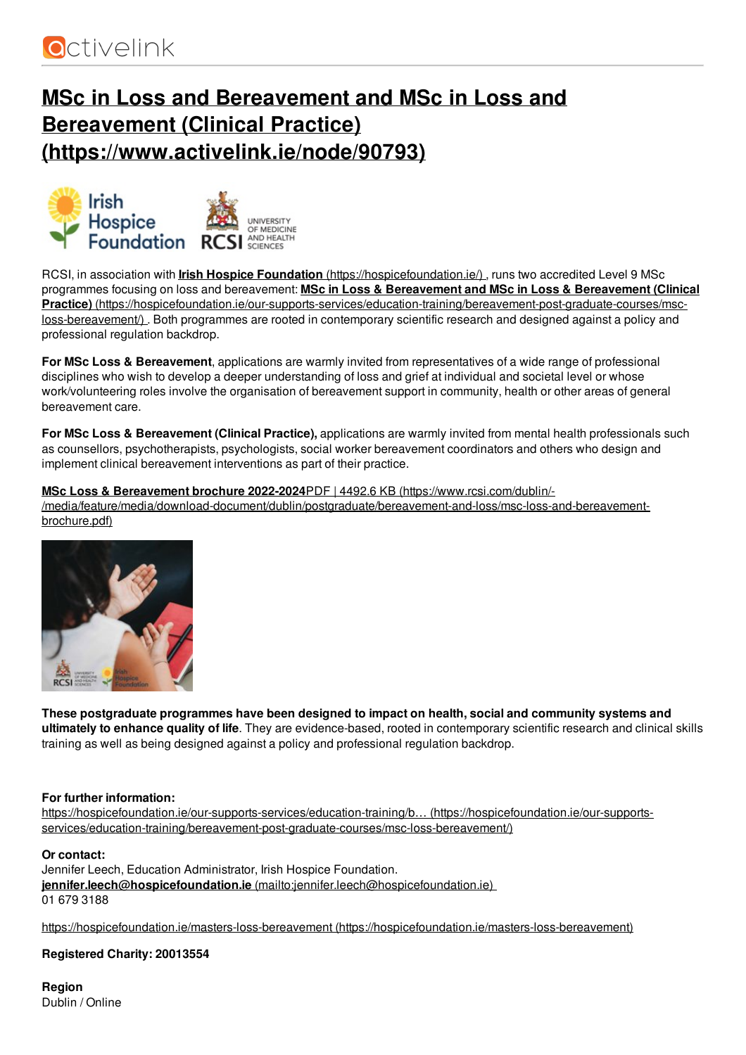

# **MSc in Loss and Bereavement and MSc in Loss and Bereavement (Clinical Practice) [\(https://www.activelink.ie/node/90793\)](https://www.activelink.ie/node/90793)**





**INIVERSITY** ONIVERSITY<br>OF MEDICINE AND HEALTH

RCSI, in association with **Irish Hospice Foundation** [\(https://hospicefoundation.ie/\)](https://hospicefoundation.ie/) , runs two accredited Level 9 MSc programmes focusing on loss and bereavement: **MSc in Loss & Bereavement and MSc in Loss & Bereavement (Clinical Practice)** [\(https://hospicefoundation.ie/our-supports-services/education-training/bereavement-post-graduate-courses/msc](https://hospicefoundation.ie/our-supports-services/education-training/bereavement-post-graduate-courses/msc-loss-bereavement/)loss-bereavement/). Both programmes are rooted in contemporary scientific research and designed against a policy and professional regulation backdrop.

**For MSc Loss & Bereavement**, applications are warmly invited from representatives of a wide range of professional disciplines who wish to develop a deeper understanding of loss and grief at individual and societal level or whose work/volunteering roles involve the organisation of bereavement support in community, health or other areas of general bereavement care.

**For MSc Loss & Bereavement (Clinical Practice),** applications are warmly invited from mental health professionals such as counsellors, psychotherapists, psychologists, social worker bereavement coordinators and others who design and implement clinical bereavement interventions as part of their practice.

**MSc Loss & Bereavement brochure 2022-2024**PDF | 4492.6 KB (https://www.rcsi.com/dublin/- [/media/feature/media/download-document/dublin/postgraduate/bereavement-and-loss/msc-loss-and-bereavement](https://www.rcsi.com/dublin/-/media/feature/media/download-document/dublin/postgraduate/bereavement-and-loss/msc-loss-and-bereavement-brochure.pdf)brochure.pdf)



**These postgraduate programmes have been designed to impact on health, social and community systems and ultimately to enhance quality of life**. They are evidence-based, rooted in contemporary scientific research and clinical skills training as well as being designed against a policy and professional regulation backdrop.

### **For further information:**

https://hospicefoundation.ie/our-supports-services/education-training/b… (https://hospicefoundation.ie/our-supports[services/education-training/bereavement-post-graduate-courses/msc-loss-bereavement/\)](https://hospicefoundation.ie/our-supports-services/education-training/bereavement-post-graduate-courses/msc-loss-bereavement/)

#### **Or contact:**

Jennifer Leech, Education Administrator, Irish Hospice Foundation. **jennifer.leech@hospicefoundation.ie** [\(mailto:jennifer.leech@hospicefoundation.ie\)](mailto:jennifer.leech@hospicefoundation.ie) 01 679 3188

https://hospicefoundation.ie/masters-loss-bereavement [\(https://hospicefoundation.ie/masters-loss-bereavement\)](https://hospicefoundation.ie/masters-loss-bereavement)

#### **Registered Charity: 20013554**

**Region** Dublin / Online